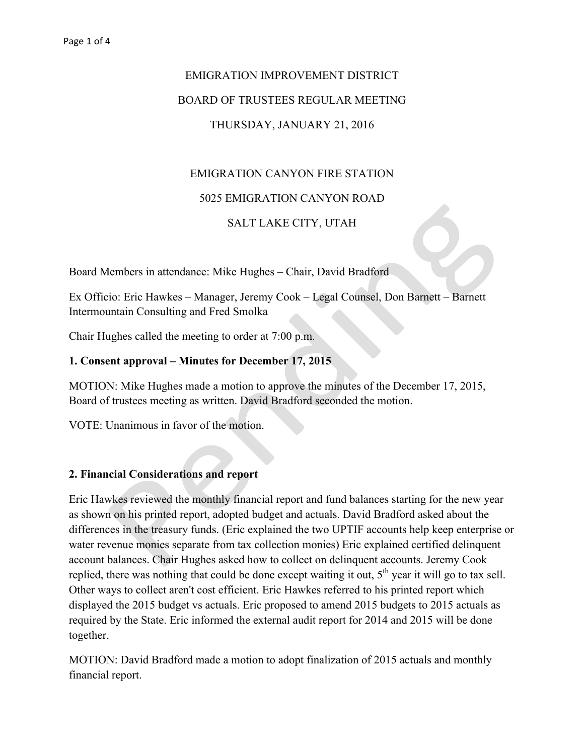# EMIGRATION IMPROVEMENT DISTRICT BOARD OF TRUSTEES REGULAR MEETING THURSDAY, JANUARY 21, 2016

# EMIGRATION CANYON FIRE STATION

## 5025 EMIGRATION CANYON ROAD

## SALT LAKE CITY, UTAH

Board Members in attendance: Mike Hughes – Chair, David Bradford

Ex Officio: Eric Hawkes – Manager, Jeremy Cook – Legal Counsel, Don Barnett – Barnett Intermountain Consulting and Fred Smolka

Chair Hughes called the meeting to order at 7:00 p.m.

### **1. Consent approval – Minutes for December 17, 2015**

MOTION: Mike Hughes made a motion to approve the minutes of the December 17, 2015, Board of trustees meeting as written. David Bradford seconded the motion.

VOTE: Unanimous in favor of the motion.

### **2. Financial Considerations and report**

Eric Hawkes reviewed the monthly financial report and fund balances starting for the new year as shown on his printed report, adopted budget and actuals. David Bradford asked about the differences in the treasury funds. (Eric explained the two UPTIF accounts help keep enterprise or water revenue monies separate from tax collection monies) Eric explained certified delinquent account balances. Chair Hughes asked how to collect on delinquent accounts. Jeremy Cook replied, there was nothing that could be done except waiting it out, 5<sup>th</sup> year it will go to tax sell. Other ways to collect aren't cost efficient. Eric Hawkes referred to his printed report which displayed the 2015 budget vs actuals. Eric proposed to amend 2015 budgets to 2015 actuals as required by the State. Eric informed the external audit report for 2014 and 2015 will be done together.

MOTION: David Bradford made a motion to adopt finalization of 2015 actuals and monthly financial report.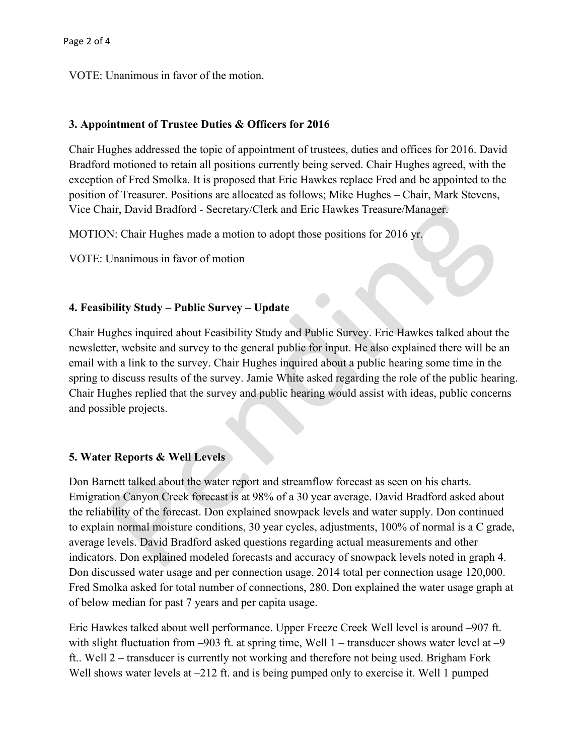VOTE: Unanimous in favor of the motion.

## **3. Appointment of Trustee Duties & Officers for 2016**

Chair Hughes addressed the topic of appointment of trustees, duties and offices for 2016. David Bradford motioned to retain all positions currently being served. Chair Hughes agreed, with the exception of Fred Smolka. It is proposed that Eric Hawkes replace Fred and be appointed to the position of Treasurer. Positions are allocated as follows; Mike Hughes – Chair, Mark Stevens, Vice Chair, David Bradford - Secretary/Clerk and Eric Hawkes Treasure/Manager.

MOTION: Chair Hughes made a motion to adopt those positions for 2016 yr.

VOTE: Unanimous in favor of motion

# **4. Feasibility Study – Public Survey – Update**

Chair Hughes inquired about Feasibility Study and Public Survey. Eric Hawkes talked about the newsletter, website and survey to the general public for input. He also explained there will be an email with a link to the survey. Chair Hughes inquired about a public hearing some time in the spring to discuss results of the survey. Jamie White asked regarding the role of the public hearing. Chair Hughes replied that the survey and public hearing would assist with ideas, public concerns and possible projects.

# **5. Water Reports & Well Levels**

Don Barnett talked about the water report and streamflow forecast as seen on his charts. Emigration Canyon Creek forecast is at 98% of a 30 year average. David Bradford asked about the reliability of the forecast. Don explained snowpack levels and water supply. Don continued to explain normal moisture conditions, 30 year cycles, adjustments, 100% of normal is a C grade, average levels. David Bradford asked questions regarding actual measurements and other indicators. Don explained modeled forecasts and accuracy of snowpack levels noted in graph 4. Don discussed water usage and per connection usage. 2014 total per connection usage 120,000. Fred Smolka asked for total number of connections, 280. Don explained the water usage graph at of below median for past 7 years and per capita usage.

Eric Hawkes talked about well performance. Upper Freeze Creek Well level is around –907 ft. with slight fluctuation from  $-903$  ft. at spring time, Well 1 – transducer shows water level at  $-9$ ft.. Well 2 – transducer is currently not working and therefore not being used. Brigham Fork Well shows water levels at  $-212$  ft. and is being pumped only to exercise it. Well 1 pumped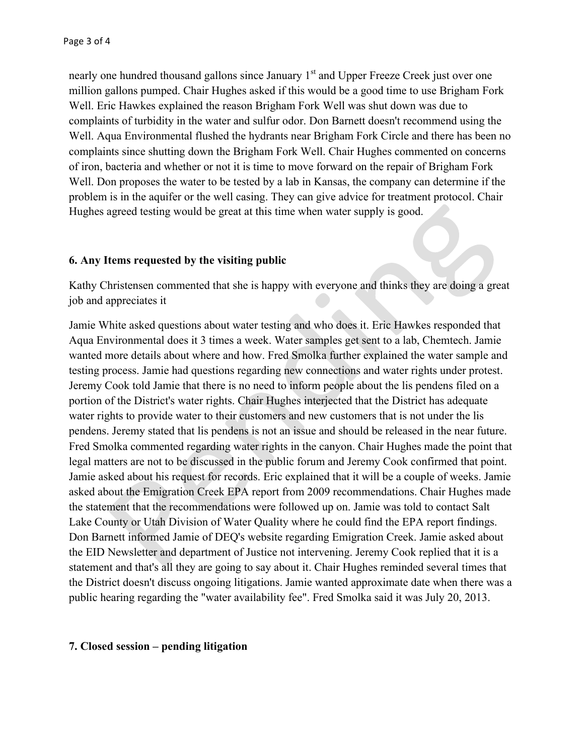nearly one hundred thousand gallons since January 1<sup>st</sup> and Upper Freeze Creek just over one million gallons pumped. Chair Hughes asked if this would be a good time to use Brigham Fork Well. Eric Hawkes explained the reason Brigham Fork Well was shut down was due to complaints of turbidity in the water and sulfur odor. Don Barnett doesn't recommend using the Well. Aqua Environmental flushed the hydrants near Brigham Fork Circle and there has been no complaints since shutting down the Brigham Fork Well. Chair Hughes commented on concerns of iron, bacteria and whether or not it is time to move forward on the repair of Brigham Fork Well. Don proposes the water to be tested by a lab in Kansas, the company can determine if the problem is in the aquifer or the well casing. They can give advice for treatment protocol. Chair Hughes agreed testing would be great at this time when water supply is good.

### **6. Any Items requested by the visiting public**

Kathy Christensen commented that she is happy with everyone and thinks they are doing a great job and appreciates it

Jamie White asked questions about water testing and who does it. Eric Hawkes responded that Aqua Environmental does it 3 times a week. Water samples get sent to a lab, Chemtech. Jamie wanted more details about where and how. Fred Smolka further explained the water sample and testing process. Jamie had questions regarding new connections and water rights under protest. Jeremy Cook told Jamie that there is no need to inform people about the lis pendens filed on a portion of the District's water rights. Chair Hughes interjected that the District has adequate water rights to provide water to their customers and new customers that is not under the lis pendens. Jeremy stated that lis pendens is not an issue and should be released in the near future. Fred Smolka commented regarding water rights in the canyon. Chair Hughes made the point that legal matters are not to be discussed in the public forum and Jeremy Cook confirmed that point. Jamie asked about his request for records. Eric explained that it will be a couple of weeks. Jamie asked about the Emigration Creek EPA report from 2009 recommendations. Chair Hughes made the statement that the recommendations were followed up on. Jamie was told to contact Salt Lake County or Utah Division of Water Quality where he could find the EPA report findings. Don Barnett informed Jamie of DEQ's website regarding Emigration Creek. Jamie asked about the EID Newsletter and department of Justice not intervening. Jeremy Cook replied that it is a statement and that's all they are going to say about it. Chair Hughes reminded several times that the District doesn't discuss ongoing litigations. Jamie wanted approximate date when there was a public hearing regarding the "water availability fee". Fred Smolka said it was July 20, 2013.

### **7. Closed session – pending litigation**